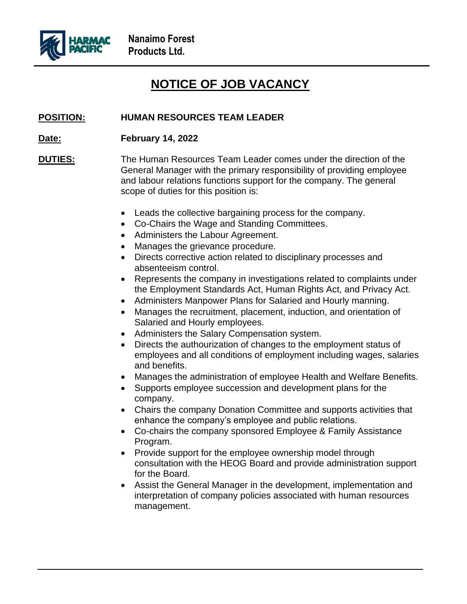

## **NOTICE OF JOB VACANCY**

## **POSITION: HUMAN RESOURCES TEAM LEADER**

**Date: February 14, 2022**

**DUTIES:** The Human Resources Team Leader comes under the direction of the General Manager with the primary responsibility of providing employee and labour relations functions support for the company. The general scope of duties for this position is:

- Leads the collective bargaining process for the company.
- Co-Chairs the Wage and Standing Committees.
- Administers the Labour Agreement.
- Manages the grievance procedure.
- Directs corrective action related to disciplinary processes and absenteeism control.
- Represents the company in investigations related to complaints under the Employment Standards Act, Human Rights Act, and Privacy Act.
- Administers Manpower Plans for Salaried and Hourly manning.
- Manages the recruitment, placement, induction, and orientation of Salaried and Hourly employees.
- Administers the Salary Compensation system.
- Directs the authourization of changes to the employment status of employees and all conditions of employment including wages, salaries and benefits.
- Manages the administration of employee Health and Welfare Benefits.
- Supports employee succession and development plans for the company.
- Chairs the company Donation Committee and supports activities that enhance the company's employee and public relations.
- Co-chairs the company sponsored Employee & Family Assistance Program.
- Provide support for the employee ownership model through consultation with the HEOG Board and provide administration support for the Board.
- Assist the General Manager in the development, implementation and interpretation of company policies associated with human resources management.